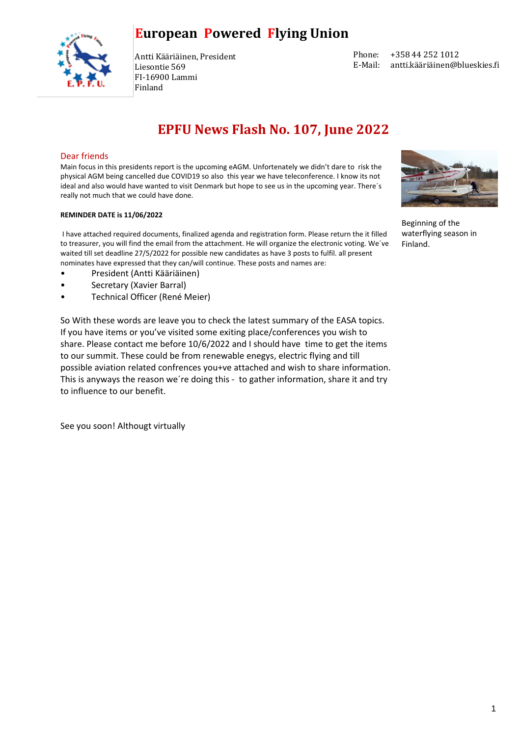

Antti Kääriäinen, President Liesontie 569 FI-16900 Lammi Finland

| Phone:  | +358 44 252 1012              |
|---------|-------------------------------|
| E-Mail: | antti.kääriäinen@blueskies.fi |

## **EPFU News Flash No. 107, June 2022**

#### Dear friends

Main focus in this presidents report is the upcoming eAGM. Unfortenately we didn't dare to risk the physical AGM being cancelled due COVID19 so also this year we have teleconference. I know its not ideal and also would have wanted to visit Denmark but hope to see us in the upcoming year. There´s really not much that we could have done.

#### **REMINDER DATE is 11/06/2022**

I have attached required documents, finalized agenda and registration form. Please return the it filled to treasurer, you will find the email from the attachment. He will organize the electronic voting. We´ve waited till set deadline 27/5/2022 for possible new candidates as have 3 posts to fulfil. all present nominates have expressed that they can/will continue. These posts and names are:

- President (Antti Kääriäinen)
- Secretary (Xavier Barral)
- Technical Officer (René Meier)

So With these words are leave you to check the latest summary of the EASA topics. If you have items or you've visited some exiting place/conferences you wish to share. Please contact me before 10/6/2022 and I should have time to get the items to our summit. These could be from renewable enegys, electric flying and till possible aviation related confrences you+ve attached and wish to share information. This is anyways the reason we´re doing this - to gather information, share it and try to influence to our benefit.

See you soon! Althougt virtually



Beginning of the waterflying season in Finland.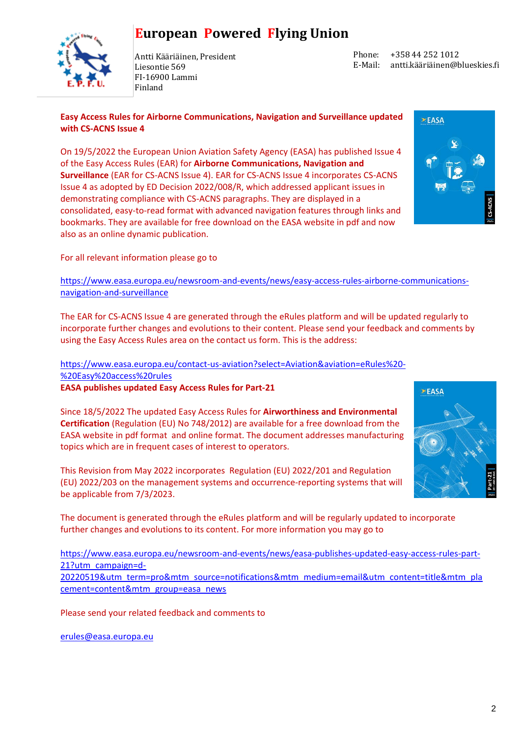

Antti Kääriäinen, President Liesontie 569 FI-16900 Lammi Finland

Phone: E-Mail: +358 44 252 1012 antti.kääriäinen@blueskies.fi

 $\geq$ EASA

**Easy Access Rules for Airborne Communications, Navigation and Surveillance updated with CS-ACNS Issue 4**

On 19/5/2022 the European Union Aviation Safety Agency (EASA) has published Issue 4 of the Easy Access Rules (EAR) for **Airborne Communications, Navigation and Surveillance** (EAR for CS-ACNS Issue 4). EAR for CS-ACNS Issue 4 incorporates CS-ACNS Issue 4 as adopted by ED Decision 2022/008/R, which addressed applicant issues in demonstrating compliance with CS-ACNS paragraphs. They are displayed in a consolidated, easy-to-read format with advanced navigation features through links and bookmarks. They are available for free download on the EASA website in pdf and now also as an online dynamic publication.



[https://www.easa.europa.eu/newsroom-and-events/news/easy-access-rules-airborne-communications](https://www.easa.europa.eu/newsroom-and-events/news/easy-access-rules-airborne-communications-navigation-and-surveillance)[navigation-and-surveillance](https://www.easa.europa.eu/newsroom-and-events/news/easy-access-rules-airborne-communications-navigation-and-surveillance)

The EAR for CS-ACNS Issue 4 are generated through the eRules platform and will be updated regularly to incorporate further changes and evolutions to their content. Please send your feedback and comments by using the Easy Access Rules area on the contact us form. This is the address:

[https://www.easa.europa.eu/contact-us-aviation?select=Aviation&aviation=eRules%20-](https://www.easa.europa.eu/contact-us-aviation?select=Aviation&aviation=eRules%20-%20Easy%20access%20rules) [%20Easy%20access%20rules](https://www.easa.europa.eu/contact-us-aviation?select=Aviation&aviation=eRules%20-%20Easy%20access%20rules)

**EASA publishes updated Easy Access Rules for Part-21**

Since 18/5/2022 The updated Easy Access Rules for **Airworthiness and Environmental Certification** (Regulation (EU) No 748/2012) are available for a free download from the EASA website in pdf format and online format. The document addresses manufacturing topics which are in frequent cases of interest to operators.

This Revision from May 2022 incorporates Regulation (EU) 2022/201 and Regulation (EU) 2022/203 on the management systems and occurrence-reporting systems that will be applicable from 7/3/2023.



The document is generated through the eRules platform and will be regularly updated to incorporate further changes and evolutions to its content. For more information you may go to

[https://www.easa.europa.eu/newsroom-and-events/news/easa-publishes-updated-easy-access-rules-part-](https://www.easa.europa.eu/newsroom-and-events/news/easa-publishes-updated-easy-access-rules-part-21?utm_campaign=d-20220519&utm_term=pro&mtm_source=notifications&mtm_medium=email&utm_content=title&mtm_placement=content&mtm_group=easa_news)[21?utm\\_campaign=d-](https://www.easa.europa.eu/newsroom-and-events/news/easa-publishes-updated-easy-access-rules-part-21?utm_campaign=d-20220519&utm_term=pro&mtm_source=notifications&mtm_medium=email&utm_content=title&mtm_placement=content&mtm_group=easa_news)[20220519&utm\\_term=pro&mtm\\_source=notifications&mtm\\_medium=email&utm\\_content=title&mtm\\_pla](https://www.easa.europa.eu/newsroom-and-events/news/easa-publishes-updated-easy-access-rules-part-21?utm_campaign=d-20220519&utm_term=pro&mtm_source=notifications&mtm_medium=email&utm_content=title&mtm_placement=content&mtm_group=easa_news) [cement=content&mtm\\_group=easa\\_news](https://www.easa.europa.eu/newsroom-and-events/news/easa-publishes-updated-easy-access-rules-part-21?utm_campaign=d-20220519&utm_term=pro&mtm_source=notifications&mtm_medium=email&utm_content=title&mtm_placement=content&mtm_group=easa_news)

Please send your related feedback and comments to

[erules@easa.europa.eu](mailto:erules@easa.europa.eu)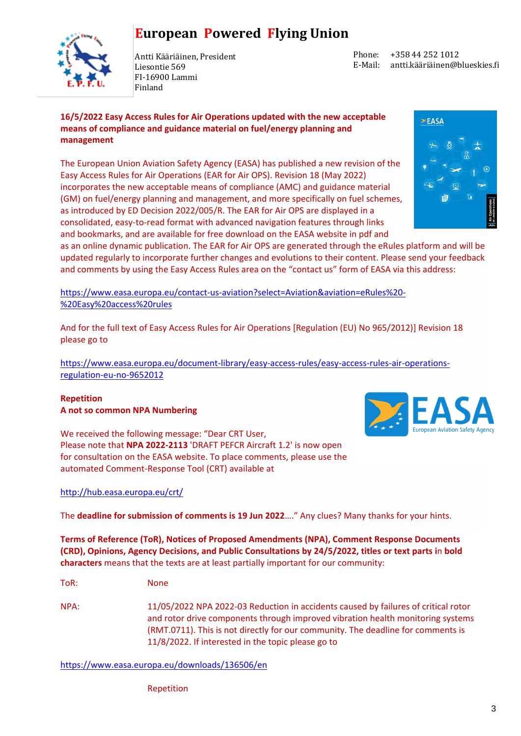

Antti Kääriäinen, President Liesontie 569 FI-16900 Lammi Finland

Phone: E-Mail: +358 44 252 1012 antti.kääriäinen@blueskies.fi

### **16/5/2022 Easy Access Rules for Air Operations updated with the new acceptable means of compliance and guidance material on fuel/energy planning and management**

The European Union Aviation Safety Agency (EASA) has published a new revision of the Easy Access Rules for Air Operations (EAR for Air OPS). Revision 18 (May 2022) incorporates the new acceptable means of compliance (AMC) and guidance material (GM) on fuel/energy planning and management, and more specifically on fuel schemes, as introduced by ED Decision 2022/005/R. The EAR for Air OPS are displayed in a consolidated, easy-to-read format with advanced navigation features through links and bookmarks, and are available for free download on the EASA website in pdf and



as an online dynamic publication. The EAR for Air OPS are generated through the eRules platform and will be updated regularly to incorporate further changes and evolutions to their content. Please send your feedback and comments by using the Easy Access Rules area on the "contact us" form of EASA via this address:

[https://www.easa.europa.eu/contact-us-aviation?select=Aviation&aviation=eRules%20-](https://www.easa.europa.eu/contact-us-aviation?select=Aviation&aviation=eRules%20-%20Easy%20access%20rules) [%20Easy%20access%20rules](https://www.easa.europa.eu/contact-us-aviation?select=Aviation&aviation=eRules%20-%20Easy%20access%20rules)

And for the full text of Easy Access Rules for Air Operations [Regulation (EU) No 965/2012)] Revision 18 please go to

[https://www.easa.europa.eu/document-library/easy-access-rules/easy-access-rules-air-operations](https://www.easa.europa.eu/document-library/easy-access-rules/easy-access-rules-air-operations-regulation-eu-no-9652012)[regulation-eu-no-9652012](https://www.easa.europa.eu/document-library/easy-access-rules/easy-access-rules-air-operations-regulation-eu-no-9652012)

### **Repetition A not so common NPA Numbering**

We received the following message: "Dear CRT User, Please note that **NPA 2022-2113** 'DRAFT PEFCR Aircraft 1.2' is now open for consultation on the EASA website. To place comments, please use the automated Comment-Response Tool (CRT) available at

### <http://hub.easa.europa.eu/crt/>

The **deadline for submission of comments is 19 Jun 2022**…." Any clues? Many thanks for your hints.

**Terms of Reference (ToR), Notices of Proposed Amendments (NPA), Comment Response Documents (CRD), Opinions, Agency Decisions, and Public Consultations by 24/5/2022, titles or text parts i**n **bold characters** means that the texts are at least partially important for our community:

ToR: None

NPA: 11/05/2022 NPA 2022-03 Reduction in accidents caused by failures of critical rotor and rotor drive components through improved vibration health monitoring systems (RMT.0711). This is not directly for our community. The deadline for comments is 11/8/2022. If interested in the topic please go to

<https://www.easa.europa.eu/downloads/136506/en>

Repetition

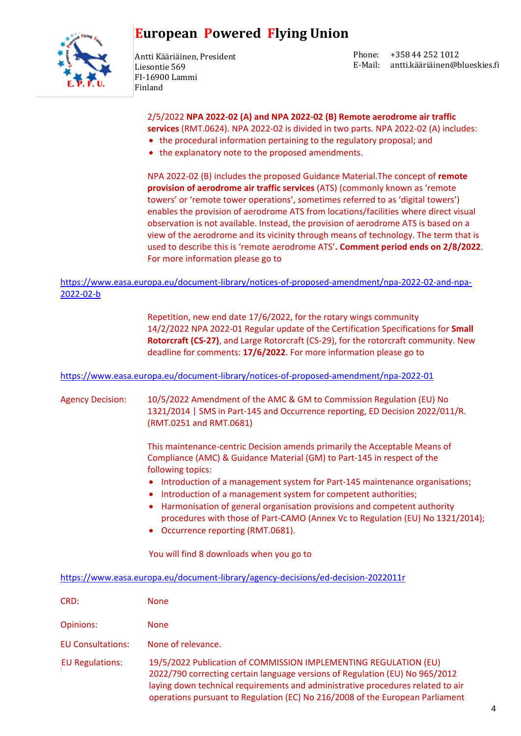

Antti Kääriäinen, President Liesontie 569 FI-16900 Lammi Finland

Phone: E-Mail: antti.kääriäinen@blueskies.fi +358 44 252 1012

2/5/2022 **NPA 2022-02 (A) and NPA 2022-02 (B) Remote aerodrome air traffic services** (RMT.0624). NPA 2022-02 is divided in two parts. NPA 2022-02 (A) includes:

- the procedural information pertaining to the regulatory proposal; and
- the explanatory note to the proposed amendments.

NPA 2022-02 (B) includes the proposed Guidance Material.The concept of **remote provision of aerodrome air traffic services** (ATS) (commonly known as 'remote towers' or 'remote tower operations', sometimes referred to as 'digital towers') enables the provision of aerodrome ATS from locations/facilities where direct visual observation is not available. Instead, the provision of aerodrome ATS is based on a view of the aerodrome and its vicinity through means of technology. The term that is used to describe this is 'remote aerodrome ATS'**. Comment period ends on 2/8/2022**. For more information please go to

### [https://www.easa.europa.eu/document-library/notices-of-proposed-amendment/npa-2022-02-and-npa-](https://www.easa.europa.eu/document-library/notices-of-proposed-amendment/npa-2022-02-and-npa-2022-02-b)[2022-02-b](https://www.easa.europa.eu/document-library/notices-of-proposed-amendment/npa-2022-02-and-npa-2022-02-b)

Repetition, new end date 17/6/2022, for the rotary wings community 14/2/2022 NPA 2022-01 Regular update of the Certification Specifications for **Small Rotorcraft (CS-27)**, and Large Rotorcraft (CS-29), for the rotorcraft community. New deadline for comments: **17/6/2022**. For more information please go to

<https://www.easa.europa.eu/document-library/notices-of-proposed-amendment/npa-2022-01>

Agency Decision: 10/5/2022 Amendment of the AMC & GM to Commission Regulation (EU) No 1321/2014 | SMS in Part-145 and Occurrence reporting, ED Decision 2022/011/R. (RMT.0251 and RMT.0681)

> This maintenance-centric Decision amends primarily the Acceptable Means of Compliance (AMC) & Guidance Material (GM) to Part-145 in respect of the following topics:

- Introduction of a management system for Part-145 maintenance organisations;
- Introduction of a management system for competent authorities;
- Harmonisation of general organisation provisions and competent authority procedures with those of Part-CAMO (Annex Vc to Regulation (EU) No 1321/2014);
- Occurrence reporting (RMT.0681).

You will find 8 downloads when you go to

<https://www.easa.europa.eu/document-library/agency-decisions/ed-decision-2022011r>

| CRD:                     | <b>None</b>                                                                                                                                                                                                                                                                                                          |
|--------------------------|----------------------------------------------------------------------------------------------------------------------------------------------------------------------------------------------------------------------------------------------------------------------------------------------------------------------|
| Opinions:                | <b>None</b>                                                                                                                                                                                                                                                                                                          |
| <b>EU Consultations:</b> | None of relevance.                                                                                                                                                                                                                                                                                                   |
| <b>EU Regulations:</b>   | 19/5/2022 Publication of COMMISSION IMPLEMENTING REGULATION (EU)<br>2022/790 correcting certain language versions of Regulation (EU) No 965/2012<br>laying down technical requirements and administrative procedures related to air<br>operations pursuant to Regulation (EC) No 216/2008 of the European Parliament |